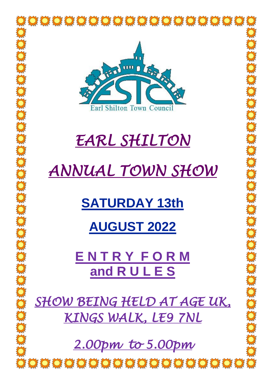

# *EARL SHILTON*

# *ANNUAL TOWN SHOW*

# **SATURDAY 13th**

## **AUGUST 2022**

**E N T R Y F O R M and R U L E S**

*SHOW BEING HELD AT AGE UK, KINGS WALK, LE9 7NL* 

*2.00pm to 5.00pm* 

**O O O O O O O O O O O O O O O O O O O**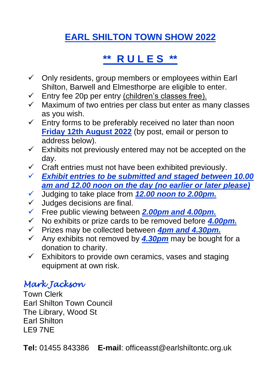### **EARL SHILTON TOWN SHOW 2022**

### **\*\* R U L E S \*\***

- $\checkmark$  Only residents, group members or employees within Earl Shilton, Barwell and Elmesthorpe are eligible to enter.
- $\checkmark$  Entry fee 20p per entry (children's classes free).
- ✓ Maximum of two entries per class but enter as many classes as you wish.
- $\checkmark$  Entry forms to be preferably received no later than noon **Friday 12th August 2022** (by post, email or person to address below).
- $\checkmark$  Exhibits not previously entered may not be accepted on the day.
- $\checkmark$  Craft entries must not have been exhibited previously.
- ✓ *Exhibit entries to be submitted and staged between 10.00 am and 12.00 noon on the day (no earlier or later please)*
- ✓ Judging to take place from *12.00 noon to 2.00pm.*
- $\checkmark$  Judges decisions are final.
- ✓ Free public viewing between *2.00pm and 4.00pm.*
- ✓ No exhibits or prize cards to be removed before *4.00pm.*
- ✓ Prizes may be collected between *4pm and 4.30pm.*
- ✓ Any exhibits not removed by *4.30pm* may be bought for a donation to charity.
- $\checkmark$  Exhibitors to provide own ceramics, vases and staging equipment at own risk.

#### *Mark Jackson*

Town Clerk Earl Shilton Town Council The Library, Wood St Earl Shilton LE9 7NE

**Tel:** 01455 843386 **E-mail**: officeasst@earlshiltontc.org.uk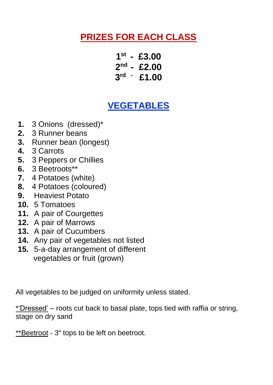#### **PRIZES FOR EACH CLASS**

**1 st - £3.00 2 nd - £2.00 3 rd - £1.00**

#### **VEGETABLES**

- **1.** 3 Onions (dressed)\*
- **2.** 3 Runner beans
- **3.** Runner bean (longest)
- **4.** 3 Carrots
- **5.** 3 Peppers or Chillies
- **6.** 3 Beetroots\*\*
- **7.** 4 Potatoes (white)
- **8.** 4 Potatoes (coloured)
- **9.** Heaviest Potato
- **10.** 5 Tomatoes
- **11.** A pair of Courgettes
- **12.** A pair of Marrows
- **13.** A pair of Cucumbers
- **14.** Any pair of vegetables not listed
- **15.** 5-a-day arrangement of different vegetables or fruit (grown)

All vegetables to be judged on uniformity unless stated.

\*'Dressed' – roots cut back to basal plate, tops tied with raffia or string, stage on dry sand

\*\*Beetroot - 3" tops to be left on beetroot.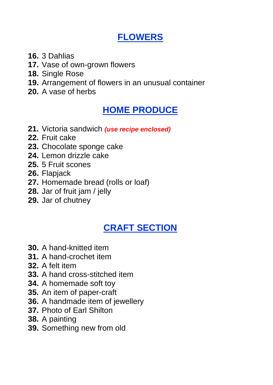#### **FLOWERS**

- **16.** 3 Dahlias
- **17.** Vase of own-grown flowers
- **18.** Single Rose
- **19.** Arrangement of flowers in an unusual container
- **20.** A vase of herbs

#### **HOME PRODUCE**

- **21.** Victoria sandwich *(use recipe enclosed)*
- **22.** Fruit cake
- **23.** Chocolate sponge cake
- **24.** Lemon drizzle cake
- **25.** 5 Fruit scones
- **26.** Flapjack
- **27.** Homemade bread (rolls or loaf)
- **28.** Jar of fruit jam / jelly
- **29.** Jar of chutney

### **CRAFT SECTION**

- **30.** A hand-knitted item
- **31.** A hand-crochet item
- **32.** A felt item
- **33.** A hand cross-stitched item
- **34.** A homemade soft toy
- **35.** An item of paper-craft
- **36.** A handmade item of jewellery
- **37.** Photo of Earl Shilton
- **38.** A painting
- **39.** Something new from old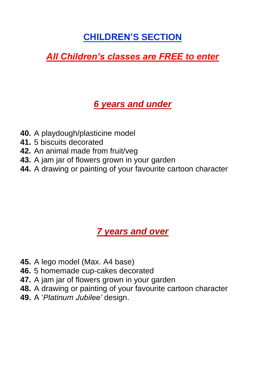#### **CHILDREN'S SECTION**

#### *All Children's classes are FREE to enter*

#### *6 years and under*

- **40.** A playdough/plasticine model
- **41.** 5 biscuits decorated
- **42.** An animal made from fruit/veg
- **43.** A jam jar of flowers grown in your garden
- **44.** A drawing or painting of your favourite cartoon character

#### *7 years and over*

- **45.** A lego model (Max. A4 base)
- **46.** 5 homemade cup-cakes decorated
- **47.** A jam jar of flowers grown in your garden
- **48.** A drawing or painting of your favourite cartoon character
- **49.** A '*Platinum Jubilee'* design.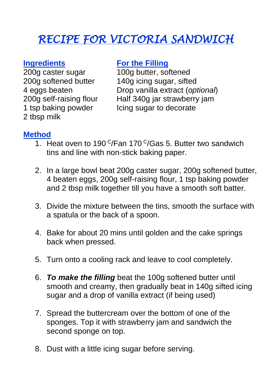## *RECIPE FOR VICTORIA SANDWICH*

**ngredients**<br> **Example 1000 butter**. so<br> **Properly** 2000 butter. so 2 tbsp milk

200g caster sugar at 100g butter, softened<br>200g softened butter 140g icing sugar, sifte 200g softened butter  $140g$  icing sugar, sifted 4 eggs beaten Drop vanilla extract (op **Drop vanilla extract (optional)** 200g self-raising flour Half 340g jar strawberry jam 1 tsp baking powder Icing sugar to decorate

#### **Method**

- 1. Heat oven to 190  $\frac{C}{F}$ an 170  $\frac{C}{Ga}$ s 5. Butter two sandwich tins and line with non-stick baking paper.
- 2. In a large bowl beat 200g caster sugar, 200g softened butter, 4 beaten eggs, 200g self-raising flour, 1 tsp baking powder and 2 tbsp milk together till you have a smooth soft batter.
- 3. Divide the mixture between the tins, smooth the surface with a spatula or the back of a spoon.
- 4. Bake for about 20 mins until golden and the cake springs back when pressed.
- 5. Turn onto a cooling rack and leave to cool completely.
- 6. *To make the filling* beat the 100g softened butter until smooth and creamy, then gradually beat in 140g sifted icing sugar and a drop of vanilla extract (if being used)
- 7. Spread the buttercream over the bottom of one of the sponges. Top it with strawberry jam and sandwich the second sponge on top.
- 8. Dust with a little icing sugar before serving.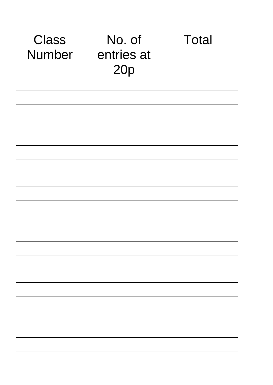| <b>Class</b><br><b>Number</b> | No. of<br>entries at<br>20p | <b>Total</b> |
|-------------------------------|-----------------------------|--------------|
|                               |                             |              |
|                               |                             |              |
|                               |                             |              |
|                               |                             |              |
|                               |                             |              |
|                               |                             |              |
|                               |                             |              |
|                               |                             |              |
|                               |                             |              |
|                               |                             |              |
|                               |                             |              |
|                               |                             |              |
|                               |                             |              |
|                               |                             |              |
|                               |                             |              |
|                               |                             |              |
|                               |                             |              |
|                               |                             |              |
|                               |                             |              |